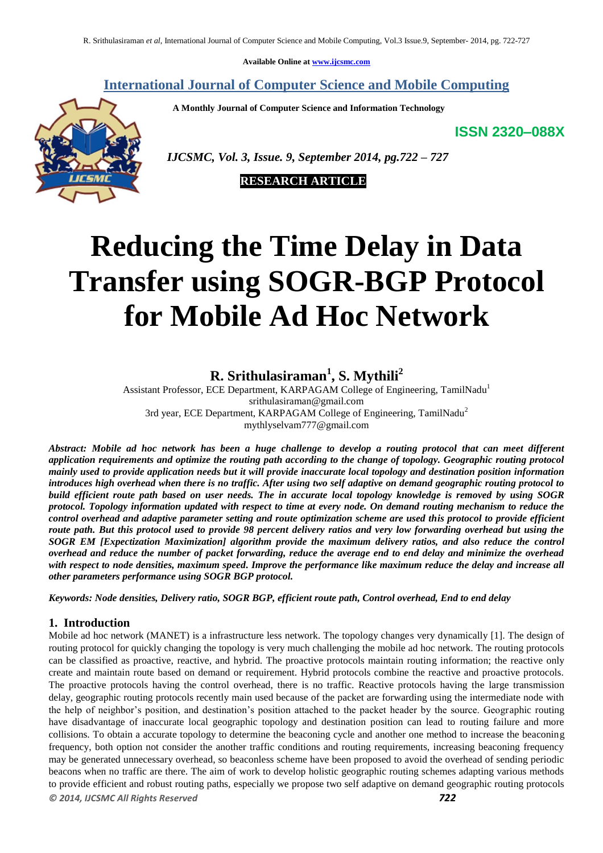**Available Online at [www.ijcsmc.com](http://www.ijcsmc.com/)**

# **International Journal of Computer Science and Mobile Computing**

 **A Monthly Journal of Computer Science and Information Technology**

**ISSN 2320–088X**



 *IJCSMC, Vol. 3, Issue. 9, September 2014, pg.722 – 727*

 **RESEARCH ARTICLE**

# **Reducing the Time Delay in Data Transfer using SOGR-BGP Protocol for Mobile Ad Hoc Network**

# **R. Srithulasiraman<sup>1</sup> , S. Mythili<sup>2</sup>**

Assistant Professor, ECE Department, KARPAGAM College of Engineering, TamilNadu<sup>1</sup> [srithulasiraman@gmail.com](mailto:srithulasiraman@gmail.com) 3rd year, ECE Department, KARPAGAM College of Engineering, TamilNadu<sup>2</sup> [mythlyselvam777@gmail.com](mailto:mythlyselvam777@gmail.com)

*Abstract: Mobile ad hoc network has been a huge challenge to develop a routing protocol that can meet different application requirements and optimize the routing path according to the change of topology. Geographic routing protocol mainly used to provide application needs but it will provide inaccurate local topology and destination position information introduces high overhead when there is no traffic. After using two self adaptive on demand geographic routing protocol to build efficient route path based on user needs. The in accurate local topology knowledge is removed by using SOGR protocol. Topology information updated with respect to time at every node. On demand routing mechanism to reduce the control overhead and adaptive parameter setting and route optimization scheme are used this protocol to provide efficient route path. But this protocol used to provide 98 percent delivery ratios and very low forwarding overhead but using the SOGR EM [Expectization Maximization] algorithm provide the maximum delivery ratios, and also reduce the control overhead and reduce the number of packet forwarding, reduce the average end to end delay and minimize the overhead with respect to node densities, maximum speed. Improve the performance like maximum reduce the delay and increase all other parameters performance using SOGR BGP protocol.* 

*Keywords: Node densities, Delivery ratio, SOGR BGP, efficient route path, Control overhead, End to end delay*

#### **1. Introduction**

*© 2014, IJCSMC All Rights Reserved 722* Mobile ad hoc network (MANET) is a infrastructure less network. The topology changes very dynamically [1]. The design of routing protocol for quickly changing the topology is very much challenging the mobile ad hoc network. The routing protocols can be classified as proactive, reactive, and hybrid. The proactive protocols maintain routing information; the reactive only create and maintain route based on demand or requirement. Hybrid protocols combine the reactive and proactive protocols. The proactive protocols having the control overhead, there is no traffic. Reactive protocols having the large transmission delay, geographic routing protocols recently main used because of the packet are forwarding using the intermediate node with the help of neighbor's position, and destination's position attached to the packet header by the source. Geographic routing have disadvantage of inaccurate local geographic topology and destination position can lead to routing failure and more collisions. To obtain a accurate topology to determine the beaconing cycle and another one method to increase the beaconing frequency, both option not consider the another traffic conditions and routing requirements, increasing beaconing frequency may be generated unnecessary overhead, so beaconless scheme have been proposed to avoid the overhead of sending periodic beacons when no traffic are there. The aim of work to develop holistic geographic routing schemes adapting various methods to provide efficient and robust routing paths, especially we propose two self adaptive on demand geographic routing protocols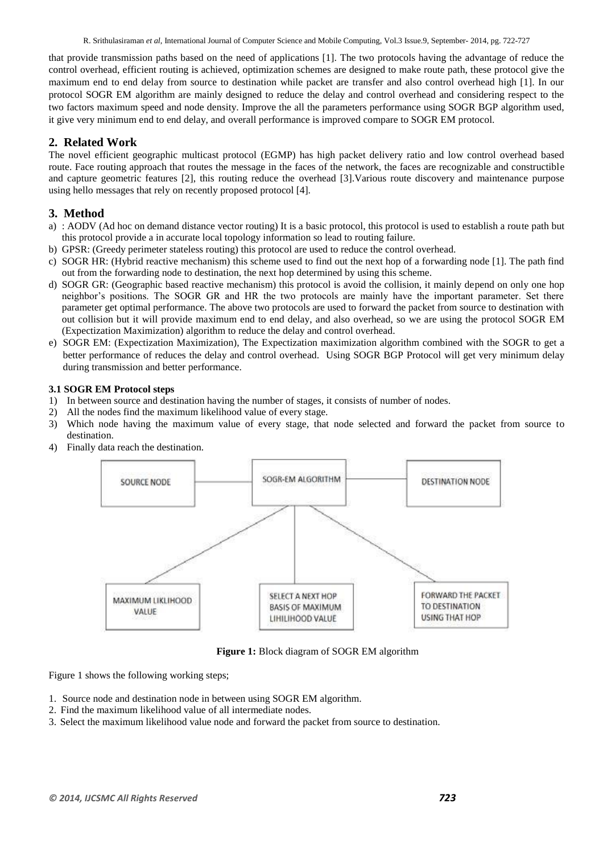R. Srithulasiraman *et al*, International Journal of Computer Science and Mobile Computing, Vol.3 Issue.9, September- 2014, pg. 722-727

that provide transmission paths based on the need of applications [1]. The two protocols having the advantage of reduce the control overhead, efficient routing is achieved, optimization schemes are designed to make route path, these protocol give the maximum end to end delay from source to destination while packet are transfer and also control overhead high [1]. In our protocol SOGR EM algorithm are mainly designed to reduce the delay and control overhead and considering respect to the two factors maximum speed and node density. Improve the all the parameters performance using SOGR BGP algorithm used, it give very minimum end to end delay, and overall performance is improved compare to SOGR EM protocol.

## **2. Related Work**

The novel efficient geographic multicast protocol (EGMP) has high packet delivery ratio and low control overhead based route. Face routing approach that routes the message in the faces of the network, the faces are recognizable and constructible and capture geometric features [2], this routing reduce the overhead [3].Various route discovery and maintenance purpose using hello messages that rely on recently proposed protocol [4].

## **3. Method**

- a) : AODV (Ad hoc on demand distance vector routing) It is a basic protocol, this protocol is used to establish a route path but this protocol provide a in accurate local topology information so lead to routing failure.
- b) GPSR: (Greedy perimeter stateless routing) this protocol are used to reduce the control overhead.
- c) SOGR HR: (Hybrid reactive mechanism) this scheme used to find out the next hop of a forwarding node [1]. The path find out from the forwarding node to destination, the next hop determined by using this scheme.
- d) SOGR GR: (Geographic based reactive mechanism) this protocol is avoid the collision, it mainly depend on only one hop neighbor's positions. The SOGR GR and HR the two protocols are mainly have the important parameter. Set there parameter get optimal performance. The above two protocols are used to forward the packet from source to destination with out collision but it will provide maximum end to end delay, and also overhead, so we are using the protocol SOGR EM (Expectization Maximization) algorithm to reduce the delay and control overhead.
- e) SOGR EM: (Expectization Maximization), The Expectization maximization algorithm combined with the SOGR to get a better performance of reduces the delay and control overhead. Using SOGR BGP Protocol will get very minimum delay during transmission and better performance.

#### **3.1 SOGR EM Protocol steps**

- 1) In between source and destination having the number of stages, it consists of number of nodes.
- 2) All the nodes find the maximum likelihood value of every stage.
- 3) Which node having the maximum value of every stage, that node selected and forward the packet from source to destination.
- 4) Finally data reach the destination.



**Figure 1:** Block diagram of SOGR EM algorithm

Figure 1 shows the following working steps;

- 1. Source node and destination node in between using SOGR EM algorithm.
- 2. Find the maximum likelihood value of all intermediate nodes.
- 3. Select the maximum likelihood value node and forward the packet from source to destination.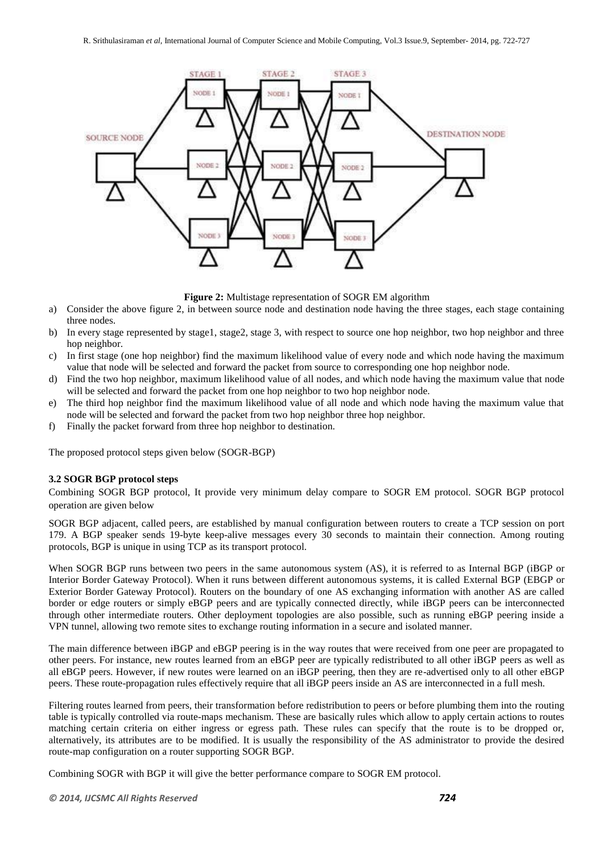

**Figure 2:** Multistage representation of SOGR EM algorithm

- a) Consider the above figure 2, in between source node and destination node having the three stages, each stage containing three nodes.
- b) In every stage represented by stage1, stage2, stage 3, with respect to source one hop neighbor, two hop neighbor and three hop neighbor.
- c) In first stage (one hop neighbor) find the maximum likelihood value of every node and which node having the maximum value that node will be selected and forward the packet from source to corresponding one hop neighbor node.
- d) Find the two hop neighbor, maximum likelihood value of all nodes, and which node having the maximum value that node will be selected and forward the packet from one hop neighbor to two hop neighbor node.
- e) The third hop neighbor find the maximum likelihood value of all node and which node having the maximum value that node will be selected and forward the packet from two hop neighbor three hop neighbor.
- f) Finally the packet forward from three hop neighbor to destination.

The proposed protocol steps given below (SOGR-BGP)

#### **3.2 SOGR BGP protocol steps**

Combining SOGR BGP protocol, It provide very minimum delay compare to SOGR EM protocol. SOGR BGP protocol operation are given below

SOGR BGP adjacent, called peers, are established by manual configuration between [routers](http://en.wikipedia.org/wiki/Router_%28computing%29) to create a [TCP](http://en.wikipedia.org/wiki/Transmission_Control_Protocol) session on [port](http://en.wikipedia.org/wiki/TCP_and_UDP_port) 179. A BGP speaker sends 19-byte keep-alive messages every 30 seconds to maintain their connection. Among routing protocols, BGP is unique in using TCP as its transport protocol.

When SOGR BGP runs between two peers in the same [autonomous system](http://en.wikipedia.org/wiki/Autonomous_system_%28Internet%29) (AS), it is referred to as Internal BGP (iBGP or Interior Border Gateway Protocol). When it runs between different autonomous systems, it is called External BGP (EBGP or Exterior Border Gateway Protocol). Routers on the boundary of one AS exchanging information with another AS are called border or edge routers or simply eBGP peers and are typically connected directly, while iBGP peers can be interconnected through other intermediate routers. Other deployment topologies are also possible, such as running eBGP peering inside a [VPN](http://en.wikipedia.org/wiki/VPN) tunnel, allowing two remote sites to exchange routing information in a secure and isolated manner.

The main difference between iBGP and eBGP peering is in the way routes that were received from one peer are propagated to other peers. For instance, new routes learned from an eBGP peer are typically redistributed to all other iBGP peers as well as all eBGP peers. However, if new routes were learned on an iBGP peering, then they are re-advertised only to all other eBGP peers. These route-propagation rules effectively require that all iBGP peers inside an AS are interconnected in a full mesh.

Filtering routes learned from peers, their transformation before redistribution to peers or before plumbing them into the [routing](http://en.wikipedia.org/wiki/Routing_table)  [table](http://en.wikipedia.org/wiki/Routing_table) is typically controlled via route-maps mechanism. These are basically rules which allow to apply certain actions to routes matching certain criteria on either ingress or egress path. These rules can specify that the route is to be dropped or, alternatively, its attributes are to be modified. It is usually the responsibility of the AS administrator to provide the desired route-map configuration on a router supporting SOGR BGP.

Combining SOGR with BGP it will give the better performance compare to SOGR EM protocol.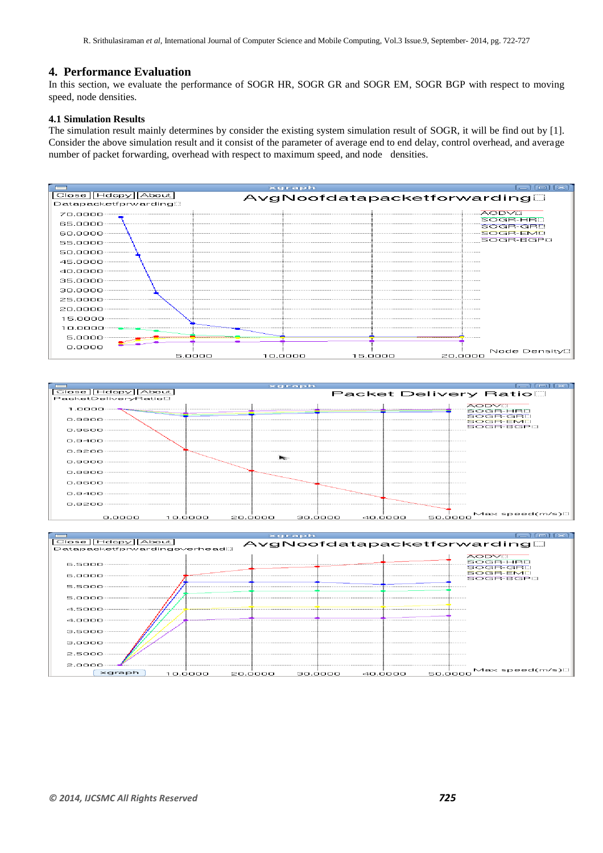#### **4. Performance Evaluation**

In this section, we evaluate the performance of SOGR HR, SOGR GR and SOGR EM, SOGR BGP with respect to moving speed, node densities.

#### **4.1 Simulation Results**

The simulation result mainly determines by consider the existing system simulation result of SOGR, it will be find out by [1]. Consider the above simulation result and it consist of the parameter of average end to end delay, control overhead, and average number of packet forwarding, overhead with respect to maximum speed, and node densities.





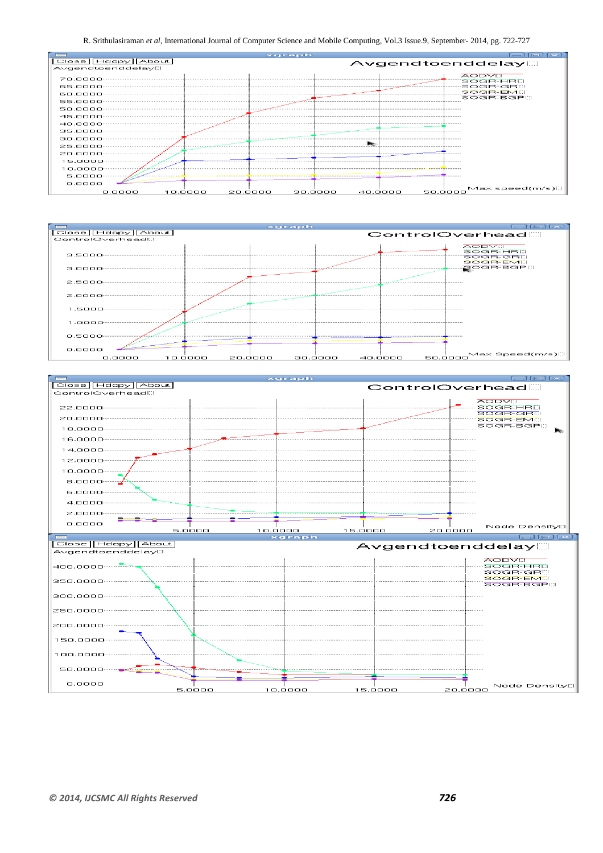R. Srithulasiraman *et al*, International Journal of Computer Science and Mobile Computing, Vol.3 Issue.9, September- 2014, pg. 722-727